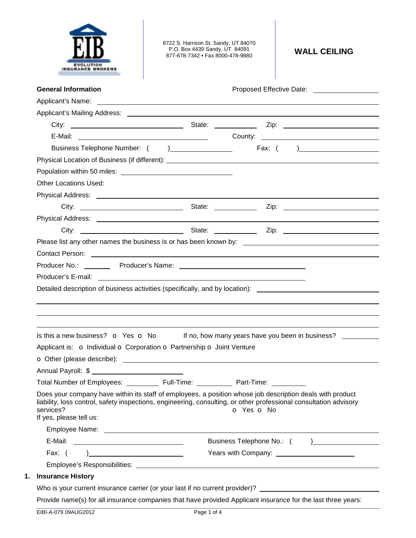

8722 S. Harrison St. Sandy, UT 84070 P.O. Box 4439 Sandy, UT 84091 877-678-7342 • Fax 8000-478-9880 **WALL CEILING** 

|                                                                        | Contact Person: <u>contact of the set of the set of the set of the set of the set of the set of the set of the set of the set of the set of the set of the set of the set of the set of the set of the set of the set of the set</u>         |
|------------------------------------------------------------------------|----------------------------------------------------------------------------------------------------------------------------------------------------------------------------------------------------------------------------------------------|
|                                                                        |                                                                                                                                                                                                                                              |
|                                                                        |                                                                                                                                                                                                                                              |
|                                                                        |                                                                                                                                                                                                                                              |
|                                                                        | Is this a new business? $\bullet$ Yes $\bullet$ No If no, how many years have you been in business?                                                                                                                                          |
| Applicant is: o Individual o Corporation o Partnership o Joint Venture |                                                                                                                                                                                                                                              |
|                                                                        |                                                                                                                                                                                                                                              |
|                                                                        |                                                                                                                                                                                                                                              |
| Full-Time:                                                             | Part-Time:                                                                                                                                                                                                                                   |
|                                                                        | Does your company have within its staff of employees, a position whose job description deals with product<br>liability, loss control, safety inspections, engineering, consulting, or other professional consultation advisory<br>o Yes o No |
|                                                                        |                                                                                                                                                                                                                                              |
|                                                                        |                                                                                                                                                                                                                                              |
| ) and the contract of the contract of $\mathcal{L}$                    |                                                                                                                                                                                                                                              |
|                                                                        |                                                                                                                                                                                                                                              |
|                                                                        |                                                                                                                                                                                                                                              |
|                                                                        | Who is your current insurance carrier (or your last if no current provider)? _______________________                                                                                                                                         |
|                                                                        | Provide name(s) for all insurance companies that have provided Applicant insurance for the last three years:                                                                                                                                 |
|                                                                        | Detailed description of business activities (specifically, and by location): _______________________                                                                                                                                         |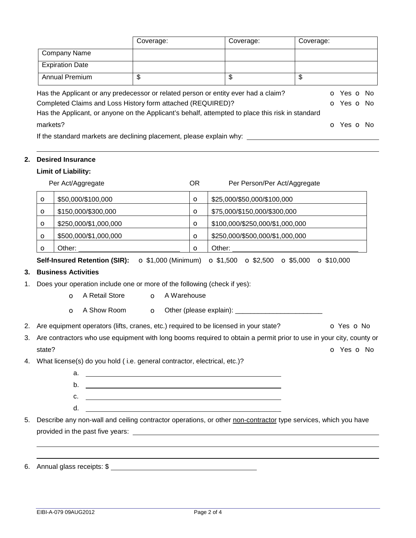| <b>Company Name</b><br><b>Expiration Date</b><br>$\overline{\mathcal{S}}$<br>$\overline{\mathcal{S}}$<br><b>Annual Premium</b><br>\$<br>Has the Applicant or any predecessor or related person or entity ever had a claim?<br>Completed Claims and Loss History form attached (REQUIRED)?<br>Has the Applicant, or anyone on the Applicant's behalf, attempted to place this risk in standard<br>markets?<br>If the standard markets are declining placement, please explain why: ______________________________<br><b>Desired Insurance</b><br><b>Limit of Liability:</b><br>Per Act/Aggregate<br>OR.<br>Per Person/Per Act/Aggregate<br>\$50,000/\$100,000<br>\$25,000/\$50,000/\$100,000<br>$\circ$<br>$\circ$<br>\$150,000/\$300,000<br>\$75,000/\$150,000/\$300,000<br>$\circ$<br>O<br>\$250,000/\$1,000,000<br>\$100,000/\$250,000/\$1,000,000<br>$\circ$<br>O<br>\$500,000/\$1,000,000<br>\$250,000/\$500,000/\$1,000,000<br>$\circ$<br>$\mathbf o$<br>Other:<br>Other:<br>$\circ$<br>$\circ$<br>$\bullet$ \$1,000 (Minimum) $\bullet$ \$1,500 $\bullet$ \$2,500 $\bullet$ \$5,000 $\bullet$ \$10,000<br><b>Self-Insured Retention (SIR):</b><br><b>Business Activities</b><br>3.<br>Does your operation include one or more of the following (check if yes):<br>1.<br>A Retail Store<br>A Warehouse<br>$\Omega$<br>$\circ$<br>A Show Room<br>$\circ$<br>$\circ$<br>2. Are equipment operators (lifts, cranes, etc.) required to be licensed in your state?<br>3.<br>Are contractors who use equipment with long booms required to obtain a permit prior to use in your city, county or<br>state?<br>4. What license(s) do you hold (i.e. general contractor, electrical, etc.)?<br>b.<br><u> 1980 - Johann Barn, fransk politik (d. 1980)</u><br>c.<br><u> 1989 - Johann Harry Harry Harry Harry Harry Harry Harry Harry Harry Harry Harry Harry Harry Harry Harry Harry H</u><br>d.<br><u> 1989 - Johann Barnett, fransk politik (d. 1989)</u><br>5. Describe any non-wall and ceiling contractor operations, or other non-contractor type services, which you have |  | Coverage: |  | Coverage: | Coverage: |                                                      |
|------------------------------------------------------------------------------------------------------------------------------------------------------------------------------------------------------------------------------------------------------------------------------------------------------------------------------------------------------------------------------------------------------------------------------------------------------------------------------------------------------------------------------------------------------------------------------------------------------------------------------------------------------------------------------------------------------------------------------------------------------------------------------------------------------------------------------------------------------------------------------------------------------------------------------------------------------------------------------------------------------------------------------------------------------------------------------------------------------------------------------------------------------------------------------------------------------------------------------------------------------------------------------------------------------------------------------------------------------------------------------------------------------------------------------------------------------------------------------------------------------------------------------------------------------------------------------------------------------------------------------------------------------------------------------------------------------------------------------------------------------------------------------------------------------------------------------------------------------------------------------------------------------------------------------------------------------------------------------------------------------------------------------------------------------------------------------|--|-----------|--|-----------|-----------|------------------------------------------------------|
|                                                                                                                                                                                                                                                                                                                                                                                                                                                                                                                                                                                                                                                                                                                                                                                                                                                                                                                                                                                                                                                                                                                                                                                                                                                                                                                                                                                                                                                                                                                                                                                                                                                                                                                                                                                                                                                                                                                                                                                                                                                                              |  |           |  |           |           |                                                      |
|                                                                                                                                                                                                                                                                                                                                                                                                                                                                                                                                                                                                                                                                                                                                                                                                                                                                                                                                                                                                                                                                                                                                                                                                                                                                                                                                                                                                                                                                                                                                                                                                                                                                                                                                                                                                                                                                                                                                                                                                                                                                              |  |           |  |           |           |                                                      |
|                                                                                                                                                                                                                                                                                                                                                                                                                                                                                                                                                                                                                                                                                                                                                                                                                                                                                                                                                                                                                                                                                                                                                                                                                                                                                                                                                                                                                                                                                                                                                                                                                                                                                                                                                                                                                                                                                                                                                                                                                                                                              |  |           |  |           |           |                                                      |
|                                                                                                                                                                                                                                                                                                                                                                                                                                                                                                                                                                                                                                                                                                                                                                                                                                                                                                                                                                                                                                                                                                                                                                                                                                                                                                                                                                                                                                                                                                                                                                                                                                                                                                                                                                                                                                                                                                                                                                                                                                                                              |  |           |  |           |           | O Yes O No<br><b>o</b> Yes <b>o</b> No<br>o Yes o No |
|                                                                                                                                                                                                                                                                                                                                                                                                                                                                                                                                                                                                                                                                                                                                                                                                                                                                                                                                                                                                                                                                                                                                                                                                                                                                                                                                                                                                                                                                                                                                                                                                                                                                                                                                                                                                                                                                                                                                                                                                                                                                              |  |           |  |           |           |                                                      |
|                                                                                                                                                                                                                                                                                                                                                                                                                                                                                                                                                                                                                                                                                                                                                                                                                                                                                                                                                                                                                                                                                                                                                                                                                                                                                                                                                                                                                                                                                                                                                                                                                                                                                                                                                                                                                                                                                                                                                                                                                                                                              |  |           |  |           |           |                                                      |
|                                                                                                                                                                                                                                                                                                                                                                                                                                                                                                                                                                                                                                                                                                                                                                                                                                                                                                                                                                                                                                                                                                                                                                                                                                                                                                                                                                                                                                                                                                                                                                                                                                                                                                                                                                                                                                                                                                                                                                                                                                                                              |  |           |  |           |           |                                                      |
|                                                                                                                                                                                                                                                                                                                                                                                                                                                                                                                                                                                                                                                                                                                                                                                                                                                                                                                                                                                                                                                                                                                                                                                                                                                                                                                                                                                                                                                                                                                                                                                                                                                                                                                                                                                                                                                                                                                                                                                                                                                                              |  |           |  |           |           |                                                      |
|                                                                                                                                                                                                                                                                                                                                                                                                                                                                                                                                                                                                                                                                                                                                                                                                                                                                                                                                                                                                                                                                                                                                                                                                                                                                                                                                                                                                                                                                                                                                                                                                                                                                                                                                                                                                                                                                                                                                                                                                                                                                              |  |           |  |           |           |                                                      |
|                                                                                                                                                                                                                                                                                                                                                                                                                                                                                                                                                                                                                                                                                                                                                                                                                                                                                                                                                                                                                                                                                                                                                                                                                                                                                                                                                                                                                                                                                                                                                                                                                                                                                                                                                                                                                                                                                                                                                                                                                                                                              |  |           |  |           |           |                                                      |
|                                                                                                                                                                                                                                                                                                                                                                                                                                                                                                                                                                                                                                                                                                                                                                                                                                                                                                                                                                                                                                                                                                                                                                                                                                                                                                                                                                                                                                                                                                                                                                                                                                                                                                                                                                                                                                                                                                                                                                                                                                                                              |  |           |  |           |           |                                                      |
|                                                                                                                                                                                                                                                                                                                                                                                                                                                                                                                                                                                                                                                                                                                                                                                                                                                                                                                                                                                                                                                                                                                                                                                                                                                                                                                                                                                                                                                                                                                                                                                                                                                                                                                                                                                                                                                                                                                                                                                                                                                                              |  |           |  |           |           |                                                      |
|                                                                                                                                                                                                                                                                                                                                                                                                                                                                                                                                                                                                                                                                                                                                                                                                                                                                                                                                                                                                                                                                                                                                                                                                                                                                                                                                                                                                                                                                                                                                                                                                                                                                                                                                                                                                                                                                                                                                                                                                                                                                              |  |           |  |           |           |                                                      |
|                                                                                                                                                                                                                                                                                                                                                                                                                                                                                                                                                                                                                                                                                                                                                                                                                                                                                                                                                                                                                                                                                                                                                                                                                                                                                                                                                                                                                                                                                                                                                                                                                                                                                                                                                                                                                                                                                                                                                                                                                                                                              |  |           |  |           |           |                                                      |
|                                                                                                                                                                                                                                                                                                                                                                                                                                                                                                                                                                                                                                                                                                                                                                                                                                                                                                                                                                                                                                                                                                                                                                                                                                                                                                                                                                                                                                                                                                                                                                                                                                                                                                                                                                                                                                                                                                                                                                                                                                                                              |  |           |  |           |           |                                                      |
|                                                                                                                                                                                                                                                                                                                                                                                                                                                                                                                                                                                                                                                                                                                                                                                                                                                                                                                                                                                                                                                                                                                                                                                                                                                                                                                                                                                                                                                                                                                                                                                                                                                                                                                                                                                                                                                                                                                                                                                                                                                                              |  |           |  |           |           |                                                      |
|                                                                                                                                                                                                                                                                                                                                                                                                                                                                                                                                                                                                                                                                                                                                                                                                                                                                                                                                                                                                                                                                                                                                                                                                                                                                                                                                                                                                                                                                                                                                                                                                                                                                                                                                                                                                                                                                                                                                                                                                                                                                              |  |           |  |           |           |                                                      |
|                                                                                                                                                                                                                                                                                                                                                                                                                                                                                                                                                                                                                                                                                                                                                                                                                                                                                                                                                                                                                                                                                                                                                                                                                                                                                                                                                                                                                                                                                                                                                                                                                                                                                                                                                                                                                                                                                                                                                                                                                                                                              |  |           |  |           |           |                                                      |
|                                                                                                                                                                                                                                                                                                                                                                                                                                                                                                                                                                                                                                                                                                                                                                                                                                                                                                                                                                                                                                                                                                                                                                                                                                                                                                                                                                                                                                                                                                                                                                                                                                                                                                                                                                                                                                                                                                                                                                                                                                                                              |  |           |  |           |           | O Yes O No                                           |
|                                                                                                                                                                                                                                                                                                                                                                                                                                                                                                                                                                                                                                                                                                                                                                                                                                                                                                                                                                                                                                                                                                                                                                                                                                                                                                                                                                                                                                                                                                                                                                                                                                                                                                                                                                                                                                                                                                                                                                                                                                                                              |  |           |  |           |           |                                                      |
|                                                                                                                                                                                                                                                                                                                                                                                                                                                                                                                                                                                                                                                                                                                                                                                                                                                                                                                                                                                                                                                                                                                                                                                                                                                                                                                                                                                                                                                                                                                                                                                                                                                                                                                                                                                                                                                                                                                                                                                                                                                                              |  |           |  |           |           | o Yes o No                                           |
|                                                                                                                                                                                                                                                                                                                                                                                                                                                                                                                                                                                                                                                                                                                                                                                                                                                                                                                                                                                                                                                                                                                                                                                                                                                                                                                                                                                                                                                                                                                                                                                                                                                                                                                                                                                                                                                                                                                                                                                                                                                                              |  |           |  |           |           |                                                      |
|                                                                                                                                                                                                                                                                                                                                                                                                                                                                                                                                                                                                                                                                                                                                                                                                                                                                                                                                                                                                                                                                                                                                                                                                                                                                                                                                                                                                                                                                                                                                                                                                                                                                                                                                                                                                                                                                                                                                                                                                                                                                              |  |           |  |           |           |                                                      |
|                                                                                                                                                                                                                                                                                                                                                                                                                                                                                                                                                                                                                                                                                                                                                                                                                                                                                                                                                                                                                                                                                                                                                                                                                                                                                                                                                                                                                                                                                                                                                                                                                                                                                                                                                                                                                                                                                                                                                                                                                                                                              |  |           |  |           |           |                                                      |
|                                                                                                                                                                                                                                                                                                                                                                                                                                                                                                                                                                                                                                                                                                                                                                                                                                                                                                                                                                                                                                                                                                                                                                                                                                                                                                                                                                                                                                                                                                                                                                                                                                                                                                                                                                                                                                                                                                                                                                                                                                                                              |  |           |  |           |           |                                                      |
|                                                                                                                                                                                                                                                                                                                                                                                                                                                                                                                                                                                                                                                                                                                                                                                                                                                                                                                                                                                                                                                                                                                                                                                                                                                                                                                                                                                                                                                                                                                                                                                                                                                                                                                                                                                                                                                                                                                                                                                                                                                                              |  |           |  |           |           |                                                      |
|                                                                                                                                                                                                                                                                                                                                                                                                                                                                                                                                                                                                                                                                                                                                                                                                                                                                                                                                                                                                                                                                                                                                                                                                                                                                                                                                                                                                                                                                                                                                                                                                                                                                                                                                                                                                                                                                                                                                                                                                                                                                              |  |           |  |           |           |                                                      |
|                                                                                                                                                                                                                                                                                                                                                                                                                                                                                                                                                                                                                                                                                                                                                                                                                                                                                                                                                                                                                                                                                                                                                                                                                                                                                                                                                                                                                                                                                                                                                                                                                                                                                                                                                                                                                                                                                                                                                                                                                                                                              |  |           |  |           |           |                                                      |
|                                                                                                                                                                                                                                                                                                                                                                                                                                                                                                                                                                                                                                                                                                                                                                                                                                                                                                                                                                                                                                                                                                                                                                                                                                                                                                                                                                                                                                                                                                                                                                                                                                                                                                                                                                                                                                                                                                                                                                                                                                                                              |  |           |  |           |           |                                                      |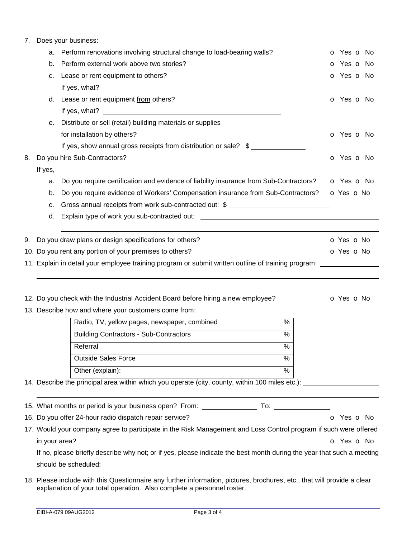## 7. Does your business:

|    | а.                                                                    | Perform renovations involving structural change to load-bearing walls?                                                | <b>o</b> Yes <b>o</b> No |  |  |  |  |  |  |
|----|-----------------------------------------------------------------------|-----------------------------------------------------------------------------------------------------------------------|--------------------------|--|--|--|--|--|--|
|    | b.                                                                    | Perform external work above two stories?                                                                              | <b>o</b> Yes <b>o</b> No |  |  |  |  |  |  |
|    | с.                                                                    | Lease or rent equipment to others?                                                                                    | o Yes o No               |  |  |  |  |  |  |
|    |                                                                       |                                                                                                                       |                          |  |  |  |  |  |  |
|    |                                                                       | d. Lease or rent equipment from others?                                                                               | o Yes o No               |  |  |  |  |  |  |
|    |                                                                       |                                                                                                                       |                          |  |  |  |  |  |  |
|    | е.                                                                    | Distribute or sell (retail) building materials or supplies                                                            |                          |  |  |  |  |  |  |
|    |                                                                       | for installation by others?                                                                                           | O Yes O No               |  |  |  |  |  |  |
|    |                                                                       | If yes, show annual gross receipts from distribution or sale? \$                                                      |                          |  |  |  |  |  |  |
| 8. |                                                                       | Do you hire Sub-Contractors?                                                                                          | o Yes o No               |  |  |  |  |  |  |
|    | If yes,                                                               |                                                                                                                       |                          |  |  |  |  |  |  |
|    | a.                                                                    | Do you require certification and evidence of liability insurance from Sub-Contractors?                                | o Yes o No               |  |  |  |  |  |  |
|    | b.                                                                    | Do you require evidence of Workers' Compensation insurance from Sub-Contractors?                                      | o Yes o No               |  |  |  |  |  |  |
|    | c.                                                                    | Gross annual receipts from work sub-contracted out: \$ __________________________                                     |                          |  |  |  |  |  |  |
|    | d.                                                                    | Explain type of work you sub-contracted out: ___________________________________                                      |                          |  |  |  |  |  |  |
|    |                                                                       |                                                                                                                       |                          |  |  |  |  |  |  |
|    |                                                                       | 9. Do you draw plans or design specifications for others?                                                             | <b>O</b> Yes <b>O</b> No |  |  |  |  |  |  |
|    |                                                                       | 10. Do you rent any portion of your premises to others?                                                               | o Yes o No               |  |  |  |  |  |  |
|    |                                                                       | 11. Explain in detail your employee training program or submit written outline of training program:                   |                          |  |  |  |  |  |  |
|    |                                                                       |                                                                                                                       |                          |  |  |  |  |  |  |
|    |                                                                       |                                                                                                                       |                          |  |  |  |  |  |  |
|    |                                                                       | 12. Do you check with the Industrial Accident Board before hiring a new employee?                                     | O Yes O No               |  |  |  |  |  |  |
|    |                                                                       | 13. Describe how and where your customers come from:                                                                  |                          |  |  |  |  |  |  |
|    |                                                                       | Radio, TV, yellow pages, newspaper, combined<br>%                                                                     |                          |  |  |  |  |  |  |
|    |                                                                       | <b>Building Contractors - Sub-Contractors</b><br>%                                                                    |                          |  |  |  |  |  |  |
|    |                                                                       | Referral<br>%                                                                                                         |                          |  |  |  |  |  |  |
|    |                                                                       | <b>Outside Sales Force</b><br>$\frac{0}{0}$                                                                           |                          |  |  |  |  |  |  |
|    |                                                                       | $\frac{0}{6}$<br>Other (explain):                                                                                     |                          |  |  |  |  |  |  |
|    |                                                                       | 14. Describe the principal area within which you operate (city, county, within 100 miles etc.): ____________________  |                          |  |  |  |  |  |  |
|    |                                                                       |                                                                                                                       |                          |  |  |  |  |  |  |
|    |                                                                       |                                                                                                                       |                          |  |  |  |  |  |  |
|    | 16. Do you offer 24-hour radio dispatch repair service?<br>o Yes o No |                                                                                                                       |                          |  |  |  |  |  |  |
|    |                                                                       | 17. Would your company agree to participate in the Risk Management and Loss Control program if such were offered      |                          |  |  |  |  |  |  |
|    | in your area?                                                         |                                                                                                                       | o Yes o No               |  |  |  |  |  |  |
|    |                                                                       | If no, please briefly describe why not; or if yes, please indicate the best month during the year that such a meeting |                          |  |  |  |  |  |  |
|    |                                                                       |                                                                                                                       |                          |  |  |  |  |  |  |
|    |                                                                       |                                                                                                                       |                          |  |  |  |  |  |  |

18. Please include with this Questionnaire any further information, pictures, brochures, etc., that will provide a clear explanation of your total operation. Also complete a personnel roster.